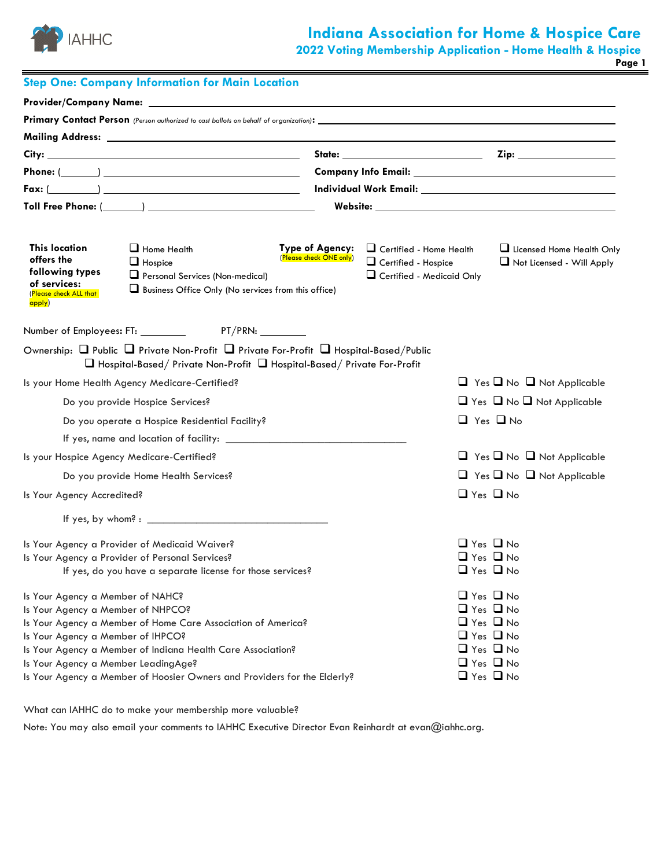

# **Indiana Association for Home & Hospice Care**

**2022 Voting Membership Application - Home Health & Hospice**

**Page 1**

|                                                                                                                                                   | <b>Step One: Company Information for Main Location</b>                                                                                                                                                  |                                            |                                                                                           |                                                                                                                                                                      |                                                        |
|---------------------------------------------------------------------------------------------------------------------------------------------------|---------------------------------------------------------------------------------------------------------------------------------------------------------------------------------------------------------|--------------------------------------------|-------------------------------------------------------------------------------------------|----------------------------------------------------------------------------------------------------------------------------------------------------------------------|--------------------------------------------------------|
|                                                                                                                                                   |                                                                                                                                                                                                         |                                            |                                                                                           |                                                                                                                                                                      |                                                        |
|                                                                                                                                                   |                                                                                                                                                                                                         |                                            |                                                                                           |                                                                                                                                                                      |                                                        |
|                                                                                                                                                   |                                                                                                                                                                                                         |                                            |                                                                                           |                                                                                                                                                                      |                                                        |
|                                                                                                                                                   |                                                                                                                                                                                                         |                                            |                                                                                           |                                                                                                                                                                      |                                                        |
|                                                                                                                                                   |                                                                                                                                                                                                         |                                            |                                                                                           |                                                                                                                                                                      |                                                        |
|                                                                                                                                                   | $Fax: (\underline{\hspace{1cm}})$                                                                                                                                                                       |                                            |                                                                                           |                                                                                                                                                                      |                                                        |
|                                                                                                                                                   |                                                                                                                                                                                                         |                                            |                                                                                           |                                                                                                                                                                      |                                                        |
| <b>This location</b><br>offers the<br>$\Box$ Hospice<br>following types<br>of services:<br>(Please check ALL that<br>apply)                       | $\Box$ Home Health<br>Personal Services (Non-medical)<br>$\Box$ Business Office Only (No services from this office)                                                                                     | Type of Agency:<br>(Please check ONE only) | $\Box$ Certified - Home Health<br>$\Box$ Certified - Hospice<br>Certified - Medicaid Only |                                                                                                                                                                      | Licensed Home Health Only<br>Not Licensed - Will Apply |
|                                                                                                                                                   |                                                                                                                                                                                                         |                                            |                                                                                           |                                                                                                                                                                      |                                                        |
|                                                                                                                                                   | Ownership: $\Box$ Public $\Box$ Private Non-Profit $\Box$ Private For-Profit $\Box$ Hospital-Based/Public<br>$\Box$ Hospital-Based/ Private Non-Profit $\Box$ Hospital-Based/ Private For-Profit        |                                            |                                                                                           |                                                                                                                                                                      |                                                        |
| Is your Home Health Agency Medicare-Certified?                                                                                                    |                                                                                                                                                                                                         |                                            |                                                                                           |                                                                                                                                                                      | $\Box$ Yes $\Box$ No $\Box$ Not Applicable             |
| Do you provide Hospice Services?                                                                                                                  |                                                                                                                                                                                                         |                                            |                                                                                           |                                                                                                                                                                      | $\Box$ Yes $\Box$ No $\Box$ Not Applicable             |
|                                                                                                                                                   | Do you operate a Hospice Residential Facility?                                                                                                                                                          |                                            |                                                                                           | $\Box$ Yes $\Box$ No                                                                                                                                                 |                                                        |
|                                                                                                                                                   |                                                                                                                                                                                                         |                                            |                                                                                           |                                                                                                                                                                      |                                                        |
| Is your Hospice Agency Medicare-Certified?                                                                                                        |                                                                                                                                                                                                         |                                            |                                                                                           |                                                                                                                                                                      | $\Box$ Yes $\Box$ No $\Box$ Not Applicable             |
| Do you provide Home Health Services?                                                                                                              |                                                                                                                                                                                                         |                                            |                                                                                           |                                                                                                                                                                      | $\Box$ Yes $\Box$ No $\Box$ Not Applicable             |
| Is Your Agency Accredited?                                                                                                                        |                                                                                                                                                                                                         |                                            |                                                                                           | $\Box$ Yes $\Box$ No                                                                                                                                                 |                                                        |
|                                                                                                                                                   | If yes, by whom? : $\qquad \qquad$                                                                                                                                                                      |                                            |                                                                                           |                                                                                                                                                                      |                                                        |
| Is Your Agency a Provider of Medicaid Waiver?<br>Is Your Agency a Provider of Personal Services?                                                  | If yes, do you have a separate license for those services?                                                                                                                                              |                                            |                                                                                           | $\Box$ Yes $\Box$ No<br>$\Box$ Yes $\Box$ No<br>$\Box$ Yes $\Box$ No                                                                                                 |                                                        |
| Is Your Agency a Member of NAHC?<br>Is Your Agency a Member of NHPCO?<br>Is Your Agency a Member of IHPCO?<br>Is Your Agency a Member LeadingAge? | Is Your Agency a Member of Home Care Association of America?<br>Is Your Agency a Member of Indiana Health Care Association?<br>Is Your Agency a Member of Hoosier Owners and Providers for the Elderly? |                                            |                                                                                           | $\Box$ Yes $\Box$ No<br>$\Box$ Yes $\Box$ No<br>$\Box$ Yes $\Box$ No<br>$\Box$ Yes $\Box$ No<br>$\Box$ Yes $\Box$ No<br>$\Box$ Yes $\Box$ No<br>$\Box$ Yes $\Box$ No |                                                        |

What can IAHHC do to make your membership more valuable?

Note: You may also email your comments to IAHHC Executive Director Evan Reinhardt at evan@iahhc.org.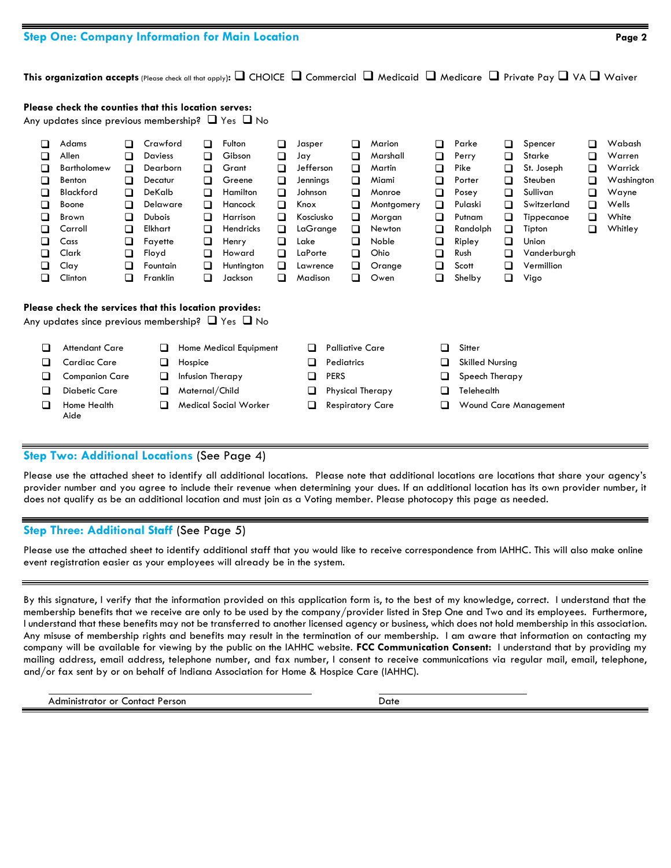## **Step One: Company Information for Main Location Page 2**

**Please check the counties that this location serves:** 

**This organization accepts** (Please check all that apply)**:** ❑ CHOICE ❑ Commercial ❑ Medicaid ❑ Medicare ❑ Private Pay ❑ VA ❑ Waiver

|                                                                         | Any updates since previous membership? $\Box$ Yes $\Box$ No                                                                         |                                                               |                                                                                                                                          |                                                               |                                                                                                                                        |                                                                         |                                                                                                                              |                   |                                                          |                                                                                                                      |                                                                 |                                                                                                                 |                                                               |                                                                                                                                             |                                 |                                                                                 |
|-------------------------------------------------------------------------|-------------------------------------------------------------------------------------------------------------------------------------|---------------------------------------------------------------|------------------------------------------------------------------------------------------------------------------------------------------|---------------------------------------------------------------|----------------------------------------------------------------------------------------------------------------------------------------|-------------------------------------------------------------------------|------------------------------------------------------------------------------------------------------------------------------|-------------------|----------------------------------------------------------|----------------------------------------------------------------------------------------------------------------------|-----------------------------------------------------------------|-----------------------------------------------------------------------------------------------------------------|---------------------------------------------------------------|---------------------------------------------------------------------------------------------------------------------------------------------|---------------------------------|---------------------------------------------------------------------------------|
| $\Box$<br>$\Box$<br>❏<br>□<br>❏<br>□<br>❏<br>$\Box$<br>□<br>□<br>❏<br>□ | Adams<br>Allen<br><b>Bartholomew</b><br>Benton<br><b>Blackford</b><br>Boone<br>Brown<br>Carroll<br>Cass<br>Clark<br>Clay<br>Clinton | n<br>□<br>□<br>□<br>❏<br>□<br>❏<br>❏<br>□<br>❏<br>□<br>$\Box$ | Crawford<br>Daviess<br>Dearborn<br>Decatur<br>DeKalb<br>Delaware<br><b>Dubois</b><br>Elkhart<br>Fayette<br>Floyd<br>Fountain<br>Franklin | □<br>◻<br>◻<br>◻<br>❏<br>□<br>□<br>□<br>❏<br>□<br>◻<br>$\Box$ | Fulton<br>Gibson<br>Grant<br>Greene<br>Hamilton<br>Hancock<br>Harrison<br><b>Hendricks</b><br>Henry<br>Howard<br>Huntington<br>Jackson | ❏<br>□<br>❏<br>□<br>□<br>□<br>□<br>$\Box$<br>□<br>$\Box$<br>□<br>$\Box$ | Jasper<br>Jay<br>Jefferson<br>Jennings<br>Johnson<br>Knox<br>Kosciusko<br>LaGrange<br>Lake<br>LaPorte<br>Lawrence<br>Madison |                   | □<br>□<br>◻<br>◻<br>◻<br>□<br>❏<br>□<br>⊔<br>□<br>◻<br>∩ | Marion<br>Marshall<br>Martin<br>Miami<br>Monroe<br>Montgomery<br>Morgan<br>Newton<br>Noble<br>Ohio<br>Orange<br>Owen | □<br>❏<br>❏<br>□<br>❏<br>□<br>❏<br>❏<br>❏<br>□<br>◻<br><b>□</b> | Parke<br>Perry<br>Pike<br>Porter<br>Posey<br>Pulaski<br>Putnam<br>Randolph<br>Ripley<br>Rush<br>Scott<br>Shelby | ◻<br>□<br>□<br>□<br>□<br>◻<br>□<br>□<br>◻<br>□<br>□<br>$\Box$ | Spencer<br>Starke<br>St. Joseph<br>Steuben<br>Sullivan<br>Switzerland<br>Tippecanoe<br>Tipton<br>Union<br>Vanderburgh<br>Vermillion<br>Vigo | Ш<br>⊔<br>◻<br>◻<br>□<br>ப<br>□ | Wabash<br>Warren<br>Warrick<br>Washington<br>Wayne<br>Wells<br>White<br>Whitley |
|                                                                         | Please check the services that this location provides:<br>Any updates since previous membership? ⊔ Yes ⊔ No                         |                                                               |                                                                                                                                          |                                                               |                                                                                                                                        |                                                                         |                                                                                                                              |                   |                                                          |                                                                                                                      |                                                                 |                                                                                                                 |                                                               |                                                                                                                                             |                                 |                                                                                 |
| $\Box$                                                                  | <b>Attendant Care</b>                                                                                                               |                                                               | ◻                                                                                                                                        |                                                               | Home Medical Equipment                                                                                                                 |                                                                         | □                                                                                                                            |                   | <b>Palliative Care</b>                                   |                                                                                                                      | □                                                               | Sitter                                                                                                          |                                                               |                                                                                                                                             |                                 |                                                                                 |
| ❏                                                                       | <b>Cardiac Care</b>                                                                                                                 |                                                               | ❏                                                                                                                                        | Hospice                                                       |                                                                                                                                        |                                                                         | ◻                                                                                                                            | <b>Pediatrics</b> |                                                          |                                                                                                                      | ⊔                                                               | <b>Skilled Nursing</b>                                                                                          |                                                               |                                                                                                                                             |                                 |                                                                                 |
| $\Box$                                                                  | <b>Companion Care</b>                                                                                                               |                                                               | ❏                                                                                                                                        | Infusion Therapy                                              |                                                                                                                                        |                                                                         | ❏                                                                                                                            | <b>PERS</b>       |                                                          |                                                                                                                      | ❏                                                               | Speech Therapy                                                                                                  |                                                               |                                                                                                                                             |                                 |                                                                                 |
| $\Box$                                                                  | <b>Diabetic Care</b>                                                                                                                |                                                               | ❏                                                                                                                                        | Maternal/Child                                                |                                                                                                                                        |                                                                         | ❏                                                                                                                            |                   |                                                          | <b>Physical Therapy</b>                                                                                              | ❏                                                               | Telehealth                                                                                                      |                                                               |                                                                                                                                             |                                 |                                                                                 |
| $\Box$                                                                  | Home Health<br>Aide                                                                                                                 |                                                               | □                                                                                                                                        |                                                               | <b>Medical Social Worker</b>                                                                                                           |                                                                         | ◻                                                                                                                            |                   |                                                          | <b>Respiratory Care</b>                                                                                              | $\Box$                                                          |                                                                                                                 |                                                               | <b>Wound Care Management</b>                                                                                                                |                                 |                                                                                 |

### **Step Two: Additional Locations** (See Page 4)

Please use the attached sheet to identify all additional locations. Please note that additional locations are locations that share your agency's provider number and you agree to include their revenue when determining your dues. If an additional location has its own provider number, it does not qualify as be an additional location and must join as a Voting member. Please photocopy this page as needed.

## **Step Three: Additional Staff** (See Page 5)

Please use the attached sheet to identify additional staff that you would like to receive correspondence from IAHHC. This will also make online event registration easier as your employees will already be in the system.

By this signature, I verify that the information provided on this application form is, to the best of my knowledge, correct. I understand that the membership benefits that we receive are only to be used by the company/provider listed in Step One and Two and its employees. Furthermore, I understand that these benefits may not be transferred to another licensed agency or business, which does not hold membership in this association. Any misuse of membership rights and benefits may result in the termination of our membership. I am aware that information on contacting my company will be available for viewing by the public on the IAHHC website. **FCC Communication Consent:** I understand that by providing my mailing address, email address, telephone number, and fax number, I consent to receive communications via regular mail, email, telephone, and/or fax sent by or on behalf of Indiana Association for Home & Hospice Care (IAHHC).

**Administrator or Contact Person** Date **Date**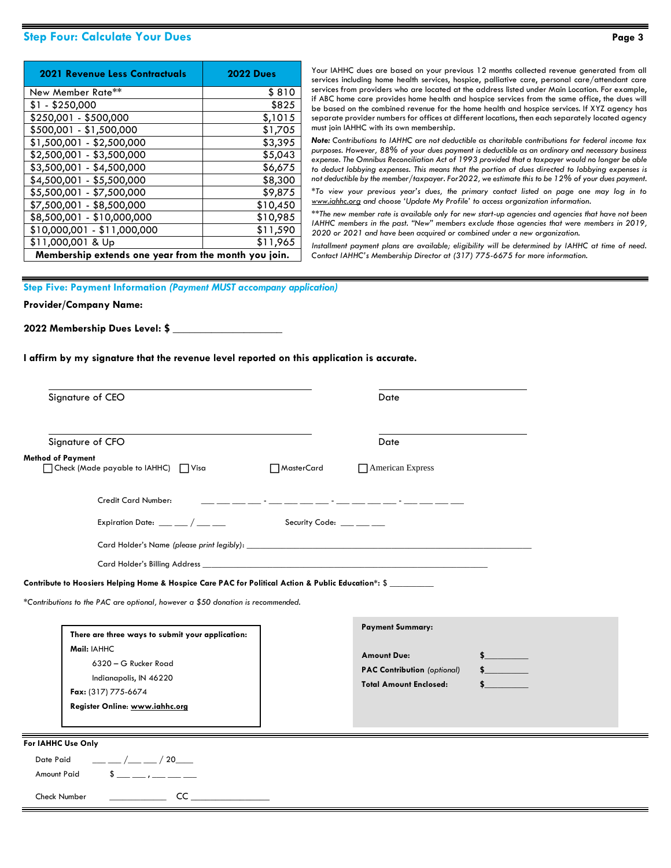## **Step Four: Calculate Your Dues Page 3**

| <b>2021 Revenue Less Contractuals</b>                | <b>2022 Dues</b> |  |  |  |  |  |  |  |
|------------------------------------------------------|------------------|--|--|--|--|--|--|--|
| New Member Rate**                                    | \$810            |  |  |  |  |  |  |  |
| \$1 - \$250,000                                      | \$825            |  |  |  |  |  |  |  |
| \$250,001 - \$500,000                                | \$,1015          |  |  |  |  |  |  |  |
| \$500,001 - \$1,500,000                              | \$1,705          |  |  |  |  |  |  |  |
| \$1,500,001 - \$2,500,000                            | \$3,395          |  |  |  |  |  |  |  |
| \$2,500,001 - \$3,500,000                            | \$5,043          |  |  |  |  |  |  |  |
| \$3,500,001 - \$4,500,000                            | \$6,675          |  |  |  |  |  |  |  |
| \$4,500,001 - \$5,500,000                            | \$8,300          |  |  |  |  |  |  |  |
| \$5,500,001 - \$7,500,000                            | \$9,875          |  |  |  |  |  |  |  |
| \$7,500,001 - \$8,500,000                            | \$10,450         |  |  |  |  |  |  |  |
| \$8,500,001 - \$10,000,000                           | \$10,985         |  |  |  |  |  |  |  |
| \$10,000,001 - \$11,000,000                          | \$11,590         |  |  |  |  |  |  |  |
| \$11,000,001 & Up                                    | \$11,965         |  |  |  |  |  |  |  |
| Membership extends one year from the month you join. |                  |  |  |  |  |  |  |  |

Your IAHHC dues are based on your previous 12 months collected revenue generated from all services including home health services, hospice, palliative care, personal care/attendant care services from providers who are located at the address listed under Main Location. For example, if ABC home care provides home health and hospice services from the same office, the dues will be based on the combined revenue for the home health and hospice services. If XYZ agency has separate provider numbers for offices at different locations, then each separately located agency must join IAHHC with its own membership.

*Note: Contributions to IAHHC are not deductible as charitable contributions for federal income tax purposes. However, 88% of your dues payment is deductible as an ordinary and necessary business expense. The Omnibus Reconciliation Act of 1993 provided that a taxpayer would no longer be able to deduct lobbying expenses. This means that the portion of dues directed to lobbying expenses is not deductible by the member/taxpayer. For2022, we estimate this to be 12% of your dues payment.*

*\*To view your previous year's dues, the primary contact listed on page one may log in to [www.iahhc.org](http://www.iahhc.org/) and choose 'Update My Profile' to access organization information.*

*\*\*The new member rate is available only for new start-up agencies and agencies that have not been IAHHC members in the past. "New" members exclude those agencies that were members in 2019, 2020 or 2021 and have been acquired or combined under a new organization.*

*Installment payment plans are available; eligibility will be determined by IAHHC at time of need. Contact IAHHC's Membership Director at (317) 775-6675 for more information.*

#### **Step Five: Payment Information** *(Payment MUST accompany application)*

#### **Provider/Company Name:**

**2022 Membership Dues Level: \$ \_\_\_\_\_\_\_\_\_\_\_\_\_\_\_\_\_\_\_\_**

**I affirm by my signature that the revenue level reported on this application is accurate.** 

| Signature of CEO                                                                                                                                                                                                                                                                                                                                                                                                                                                                                                                                   |                          | Date                                                                                                                  |        |
|----------------------------------------------------------------------------------------------------------------------------------------------------------------------------------------------------------------------------------------------------------------------------------------------------------------------------------------------------------------------------------------------------------------------------------------------------------------------------------------------------------------------------------------------------|--------------------------|-----------------------------------------------------------------------------------------------------------------------|--------|
| Signature of CFO                                                                                                                                                                                                                                                                                                                                                                                                                                                                                                                                   |                          | Date                                                                                                                  |        |
| <b>Method of Payment</b><br>□ Check (Made payable to IAHHC) □ Visa                                                                                                                                                                                                                                                                                                                                                                                                                                                                                 | MasterCard               | American Express                                                                                                      |        |
| Credit Card Number:                                                                                                                                                                                                                                                                                                                                                                                                                                                                                                                                |                          | <u> 1999 - Jan James James, martin de la provincia de la provincia de la provincia de la provincia de la provinci</u> |        |
| Expiration Date: $\frac{1}{2}$ $\frac{1}{2}$ $\frac{1}{2}$ $\frac{1}{2}$ $\frac{1}{2}$ $\frac{1}{2}$ $\frac{1}{2}$ $\frac{1}{2}$ $\frac{1}{2}$ $\frac{1}{2}$ $\frac{1}{2}$ $\frac{1}{2}$ $\frac{1}{2}$ $\frac{1}{2}$ $\frac{1}{2}$ $\frac{1}{2}$ $\frac{1}{2}$ $\frac{1}{2}$ $\frac{1}{2}$ $\frac{1}{2}$ $\frac{$                                                                                                                                                                                                                                  | Security Code: ___ __ __ |                                                                                                                       |        |
|                                                                                                                                                                                                                                                                                                                                                                                                                                                                                                                                                    |                          |                                                                                                                       |        |
|                                                                                                                                                                                                                                                                                                                                                                                                                                                                                                                                                    |                          |                                                                                                                       |        |
|                                                                                                                                                                                                                                                                                                                                                                                                                                                                                                                                                    |                          |                                                                                                                       |        |
| There are three ways to submit your application:<br>Mail: IAHHC<br>6320 - G Rucker Road<br>Indianapolis, IN 46220<br>Fax: (317) 775-6674<br>Register Online: www.iahhc.org                                                                                                                                                                                                                                                                                                                                                                         |                          | <b>Payment Summary:</b><br><b>Amount Due:</b><br><b>PAC Contribution</b> (optional)<br><b>Total Amount Enclosed:</b>  | $\sim$ |
|                                                                                                                                                                                                                                                                                                                                                                                                                                                                                                                                                    |                          |                                                                                                                       |        |
| $\frac{1}{\sqrt{2}}$ / $\frac{1}{\sqrt{2}}$ / 20<br>Date Paid                                                                                                                                                                                                                                                                                                                                                                                                                                                                                      |                          |                                                                                                                       |        |
| Contribute to Hoosiers Helping Home & Hospice Care PAC for Political Action & Public Education*: \$<br>*Contributions to the PAC are optional, however a \$50 donation is recommended.<br>For IAHHC Use Only<br>$\frac{1}{2}$ $\frac{1}{2}$ $\frac{1}{2}$ $\frac{1}{2}$ $\frac{1}{2}$ $\frac{1}{2}$ $\frac{1}{2}$ $\frac{1}{2}$ $\frac{1}{2}$ $\frac{1}{2}$ $\frac{1}{2}$ $\frac{1}{2}$ $\frac{1}{2}$ $\frac{1}{2}$ $\frac{1}{2}$ $\frac{1}{2}$ $\frac{1}{2}$ $\frac{1}{2}$ $\frac{1}{2}$ $\frac{1}{2}$ $\frac{1}{2}$ $\frac{1}{2}$<br>Amount Paid |                          |                                                                                                                       |        |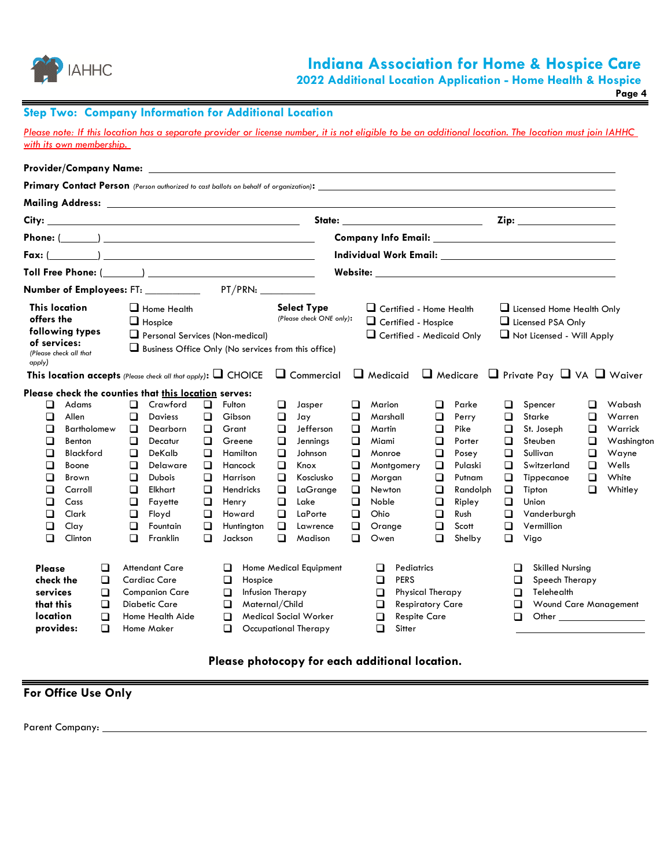

**2022 Additional Location Application - Home Health & Hospice**

**Page 4**

# **Step Two: Company Information for Additional Location**

*Please note: If this location has a separate provider or license number, it is not eligible to be an additional location. The location must join IAHHC with its own membership.* 

|                                                                       |                                                                                                                                            |                                 |                                                               |                                                                                                                                                                                                                                                     |                                                                              |                                                                                                                                        |                                                                              | Mailing Address: University of the Mailing Address:                                                                          |                                                                    |                                                                                                                                                                                                                                                                     |                                                                         |                                                                                                                 |                                                          |                                                                                                                                                                                                                                                                                                                                            |                                           |                                                                                 |
|-----------------------------------------------------------------------|--------------------------------------------------------------------------------------------------------------------------------------------|---------------------------------|---------------------------------------------------------------|-----------------------------------------------------------------------------------------------------------------------------------------------------------------------------------------------------------------------------------------------------|------------------------------------------------------------------------------|----------------------------------------------------------------------------------------------------------------------------------------|------------------------------------------------------------------------------|------------------------------------------------------------------------------------------------------------------------------|--------------------------------------------------------------------|---------------------------------------------------------------------------------------------------------------------------------------------------------------------------------------------------------------------------------------------------------------------|-------------------------------------------------------------------------|-----------------------------------------------------------------------------------------------------------------|----------------------------------------------------------|--------------------------------------------------------------------------------------------------------------------------------------------------------------------------------------------------------------------------------------------------------------------------------------------------------------------------------------------|-------------------------------------------|---------------------------------------------------------------------------------|
| City:                                                                 |                                                                                                                                            |                                 |                                                               |                                                                                                                                                                                                                                                     |                                                                              |                                                                                                                                        |                                                                              |                                                                                                                              |                                                                    | State: _______________________                                                                                                                                                                                                                                      |                                                                         |                                                                                                                 |                                                          |                                                                                                                                                                                                                                                                                                                                            |                                           |                                                                                 |
|                                                                       |                                                                                                                                            |                                 |                                                               |                                                                                                                                                                                                                                                     |                                                                              |                                                                                                                                        |                                                                              |                                                                                                                              |                                                                    |                                                                                                                                                                                                                                                                     |                                                                         |                                                                                                                 |                                                          |                                                                                                                                                                                                                                                                                                                                            |                                           |                                                                                 |
|                                                                       |                                                                                                                                            |                                 |                                                               | $Fax: ($ and $)$ and $x = 1$ and $x = 1$ and $x = 1$ and $x = 1$ and $x = 1$ and $x = 1$ and $x = 1$ and $x = 1$ and $x = 1$ and $x = 1$ and $x = 1$ and $x = 1$ and $x = 1$ and $x = 1$ and $x = 1$ and $x = 1$ and $x = 1$ and $x = 1$ and $x = $ |                                                                              |                                                                                                                                        |                                                                              |                                                                                                                              |                                                                    | Individual Work Email: University of the University of the University of the University of the University of t                                                                                                                                                      |                                                                         |                                                                                                                 |                                                          |                                                                                                                                                                                                                                                                                                                                            |                                           |                                                                                 |
|                                                                       |                                                                                                                                            |                                 |                                                               | Toll Free Phone: ( )                                                                                                                                                                                                                                |                                                                              |                                                                                                                                        |                                                                              |                                                                                                                              |                                                                    | <b>Solution</b> Website:                                                                                                                                                                                                                                            |                                                                         |                                                                                                                 |                                                          |                                                                                                                                                                                                                                                                                                                                            |                                           |                                                                                 |
|                                                                       |                                                                                                                                            |                                 |                                                               |                                                                                                                                                                                                                                                     |                                                                              |                                                                                                                                        |                                                                              |                                                                                                                              |                                                                    |                                                                                                                                                                                                                                                                     |                                                                         |                                                                                                                 |                                                          |                                                                                                                                                                                                                                                                                                                                            |                                           |                                                                                 |
| <b>This location</b><br>offers the<br>of services:<br>apply)          | following types<br>(Please check all that                                                                                                  |                                 |                                                               | $\Box$ Home Health<br>$\Box$ Hospice<br>Personal Services (Non-medical)                                                                                                                                                                             |                                                                              |                                                                                                                                        |                                                                              | <b>Select Type</b><br>(Please check ONE only):<br>$\Box$ Business Office Only (No services from this office)                 |                                                                    | $\Box$ Certified - Home Health<br>$\Box$ Certified - Hospice<br>Certified - Medicaid Only<br><b>This location accepts</b> (Please check all that apply): $\Box$ CHOICE $\Box$ Commercial $\Box$ Medicaid $\Box$ Medicare $\Box$ Private Pay $\Box$ VA $\Box$ Waiver |                                                                         |                                                                                                                 |                                                          | Licensed Home Health Only<br>Licensed PSA Only<br>Not Licensed - Will Apply                                                                                                                                                                                                                                                                |                                           |                                                                                 |
| ◻<br>◻<br>□<br>□<br>□<br>□<br>□<br>□<br>□<br>◻<br>□<br>□              | Adams<br>Allen<br><b>Bartholomew</b><br>Benton<br><b>Blackford</b><br>Boone<br><b>Brown</b><br>Carroll<br>Cass<br>Clark<br>Clay<br>Clinton |                                 | □<br>◻<br>$\Box$<br>□<br>□<br>◻<br>□<br>□<br>◻<br>◻<br>◻<br>□ | Please check the counties that this location serves:<br>Crawford<br>Daviess<br>Dearborn<br>Decatur<br>DeKalb<br>Delaware<br><b>Dubois</b><br>Elkhart<br>Fayette<br>Floyd<br>Fountain<br>Franklin                                                    | ◻<br>◻<br>□<br>□<br>□<br>□<br>$\Box$<br>□<br>$\Box$<br>$\Box$<br>□<br>$\Box$ | Fulton<br>Gibson<br>Grant<br>Greene<br>Hamilton<br>Hancock<br>Harrison<br><b>Hendricks</b><br>Henry<br>Howard<br>Huntington<br>Jackson | ❏<br>◻<br>□<br>❏<br>$\Box$<br>$\Box$<br>□<br>$\Box$<br>$\Box$<br>◻<br>❏<br>□ | Jasper<br>Jay<br>Jefferson<br>Jennings<br>Johnson<br>Knox<br>Kosciusko<br>LaGrange<br>Lake<br>LaPorte<br>Lawrence<br>Madison | ◻<br>◻<br>□<br>□<br>□<br>❏<br>□<br>□<br>$\Box$<br>□<br>□<br>$\Box$ | Marion<br>Marshall<br>Martin<br>Miami<br>Monroe<br>Montgomery<br>Morgan<br>Newton<br><b>Noble</b><br>Ohio<br>Orange<br>Owen                                                                                                                                         | □<br>◻<br>□<br>□<br>□<br>$\Box$<br>$\Box$<br>$\Box$<br>◻<br>□<br>□<br>□ | Parke<br>Perry<br>Pike<br>Porter<br>Posey<br>Pulaski<br>Putnam<br>Randolph<br>Ripley<br>Rush<br>Scott<br>Shelby | ◻<br>◻<br>◻<br>❏<br>□<br>◻<br>□<br>□<br>□<br>◻<br>◻<br>□ | Spencer<br>Starke<br>St. Joseph<br>Steuben<br>Sullivan<br>Switzerland<br>Tippecanoe<br>Tipton<br>Union<br>Vanderburgh<br>Vermillion<br>Vigo                                                                                                                                                                                                | ◻<br>◻<br>◻<br>$\Box$<br>□<br>◻<br>□<br>□ | Wabash<br>Warren<br>Warrick<br>Washington<br>Wayne<br>Wells<br>White<br>Whitley |
| Please<br>check the<br>services<br>that this<br>location<br>provides: |                                                                                                                                            | ◻<br>$\Box$<br>□<br>□<br>□<br>□ |                                                               | <b>Attendant Care</b><br><b>Cardiac Care</b><br><b>Companion Care</b><br><b>Diabetic Care</b><br>Home Health Aide<br>Home Maker                                                                                                                     |                                                                              | ◻<br>$\Box$<br>Hospice<br>$\Box$<br>Maternal/Child<br>$\Box$<br>□<br>◻                                                                 |                                                                              | <b>Home Medical Equipment</b><br>Infusion Therapy<br>Medical Social Worker<br>Occupational Therapy                           |                                                                    | Pediatrics<br>□<br><b>PERS</b><br>$\Box$<br>$\Box$<br><b>Physical Therapy</b><br>□<br><b>Respiratory Care</b><br><b>Respite Care</b><br>$\Box$<br>□<br>Sitter                                                                                                       |                                                                         |                                                                                                                 |                                                          | <b>Skilled Nursing</b><br>◻<br>Speech Therapy<br>❏<br>Telehealth<br>□<br>Wound Care Management<br>❏<br>Other the contract of the contract of the contract of the contract of the contract of the contract of the contract of the contract of the contract of the contract of the contract of the contract of the contract of the cont<br>◻ |                                           |                                                                                 |

# **Please photocopy for each additional location.**

# **For Office Use Only**

Parent Company: \_